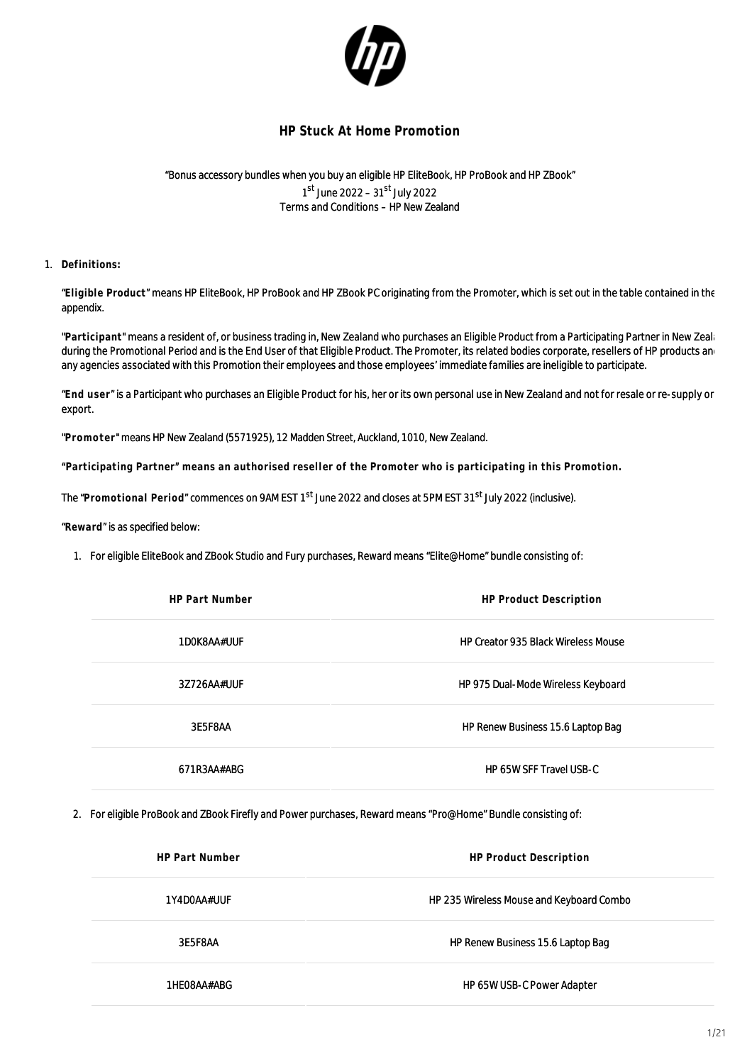

## **HP Stuck At Home Promotion**

"Bonus accessory bundles when you buy an eligible HP EliteBook, HP ProBook and HP ZBook" 1<sup>st</sup> June 2022 – 31<sup>st</sup> July 2022 Terms and Conditions – HP New Zealand

## 1. **Definitions:**

"**Eligible Product**" means HP EliteBook, HP ProBook and HP ZBook PC originating from the Promoter, which is set out in the table contained in the appendix.

"Participant" means a resident of, or business trading in, New Zealand who purchases an Eligible Product from a Participating Partner in New Zealand who during the Promotional Period and is the End User of that Eligible Product. The Promoter, its related bodies corporate, resellers of HP products and any agencies associated with this Promotion their employees and those employees' immediate families are ineligible to participate.

"**End user**" is a Participant who purchases an Eligible Product for his, her or its own personal use in New Zealand and not for resale or re-supply or export.

"**Promoter**" means HP New Zealand (5571925), 12 Madden Street, Auckland, 1010, New Zealand.

**"Participating Partner" means an authorised reseller of the Promoter who is participating in this Promotion.**

The "Promotional Period" commences on 9AM EST 1<sup>st</sup> June 2022 and closes at 5PM EST 31<sup>st</sup> July 2022 (inclusive).

"**Reward**" is as specified below:

1. For eligible EliteBook and ZBook Studio and Fury purchases, Reward means "Elite@Home" bundle consisting of:

| <b>HP Part Number</b> | <b>HP Product Description</b>              |  |
|-----------------------|--------------------------------------------|--|
| 1DOK8AA#UUF           | <b>HP Creator 935 Black Wireless Mouse</b> |  |
| 3Z726AA#UUF           | HP 975 Dual-Mode Wireless Keyboard         |  |
| 3E5F8AA               | HP Renew Business 15.6 Laptop Bag          |  |
| 671R3AA#ABG           | HP 65W SFF Travel USB-C                    |  |

2. For eligible ProBook and ZBook Firefly and Power purchases, Reward means "Pro@Home" Bundle consisting of:

| <b>HP Part Number</b> | <b>HP Product Description</b>            |
|-----------------------|------------------------------------------|
| 1Y4D0AA#UUF           | HP 235 Wireless Mouse and Keyboard Combo |
| 3E5F8AA               | HP Renew Business 15.6 Laptop Bag        |
| 1HE08AA#ABG           | HP 65W USB-C Power Adapter               |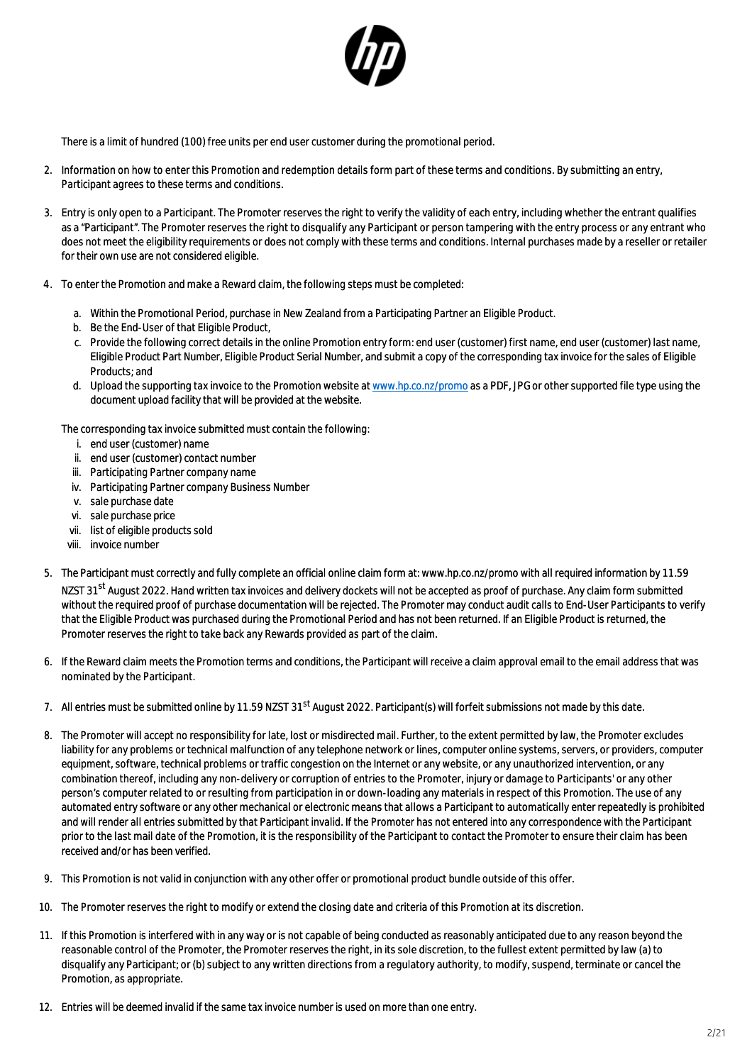

There is a limit of hundred (100) free units per end user customer during the promotional period.

- 2. Information on how to enter this Promotion and redemption details form part of these terms and conditions. By submitting an entry, Participant agrees to these terms and conditions.
- 3. Entry is only open to a Participant. The Promoter reserves the right to verify the validity of each entry, including whether the entrant qualifies as a "Participant". The Promoter reserves the right to disqualify any Participant or person tampering with the entry process or any entrant who does not meet the eligibility requirements or does not comply with these terms and conditions. Internal purchases made by a reseller or retailer for their own use are not considered eligible.
- 4. To enter the Promotion and make a Reward claim, the following steps must be completed:
	- a. Within the Promotional Period, purchase in New Zealand from a Participating Partner an Eligible Product.
	- b. Be the End-User of that Eligible Product,
	- c. Provide the following correct details in the online Promotion entry form: end user (customer) first name, end user (customer) last name, Eligible Product Part Number, Eligible Product Serial Number, and submit a copy of the corresponding tax invoice for the sales of Eligible Products; and
	- d. Upload the supporting tax invoice to the Promotion website at [www.hp.co.nz/promo](http://www.hp.co.nz/plusone) as a PDF, JPG or other supported file type using the document upload facility that will be provided at the website.

The corresponding tax invoice submitted must contain the following:

- i. end user (customer) name
- ii. end user (customer) contact number
- iii. Participating Partner company name
- iv. Participating Partner company Business Number
- v. sale purchase date
- vi. sale purchase price
- vii. list of eligible products sold
- viii. invoice number
- 5. The Participant must correctly and fully complete an official online claim form at: www.hp.co.nz/promo with all required information by 11.59 NZST 31<sup>st</sup> August 2022. Hand written tax invoices and delivery dockets will not be accepted as proof of purchase. Any claim form submitted without the required proof of purchase documentation will be rejected. The Promoter may conduct audit calls to End-User Participants to verify that the Eligible Product was purchased during the Promotional Period and has not been returned. If an Eligible Product is returned, the Promoter reserves the right to take back any Rewards provided as part of the claim.
- 6. If the Reward claim meets the Promotion terms and conditions, the Participant will receive a claim approval email to the email address that was nominated by the Participant.
- 7. All entries must be submitted online by 11.59 NZST 31<sup>st</sup> August 2022. Participant(s) will forfeit submissions not made by this date.
- 8. The Promoter will accept no responsibility for late, lost or misdirected mail. Further, to the extent permitted by law, the Promoter excludes liability for any problems or technical malfunction of any telephone network or lines, computer online systems, servers, or providers, computer equipment, software, technical problems or traffic congestion on the Internet or any website, or any unauthorized intervention, or any combination thereof, including any non-delivery or corruption of entries to the Promoter, injury or damage to Participants' or any other person's computer related to or resulting from participation in or down-loading any materials in respect of this Promotion. The use of any automated entry software or any other mechanical or electronic means that allows a Participant to automatically enter repeatedly is prohibited and will render all entries submitted by that Participant invalid. If the Promoter has not entered into any correspondence with the Participant prior to the last mail date of the Promotion, it is the responsibility of the Participant to contact the Promoter to ensure their claim has been received and/or has been verified.
- 9. This Promotion is not valid in conjunction with any other offer or promotional product bundle outside of this offer.
- 10. The Promoter reserves the right to modify or extend the closing date and criteria of this Promotion at its discretion.
- 11. If this Promotion is interfered with in any way or is not capable of being conducted as reasonably anticipated due to any reason beyond the reasonable control of the Promoter, the Promoter reserves the right, in its sole discretion, to the fullest extent permitted by law (a) to disqualify any Participant; or (b) subject to any written directions from a regulatory authority, to modify, suspend, terminate or cancel the Promotion, as appropriate.
- 12. Entries will be deemed invalid if the same tax invoice number is used on more than one entry.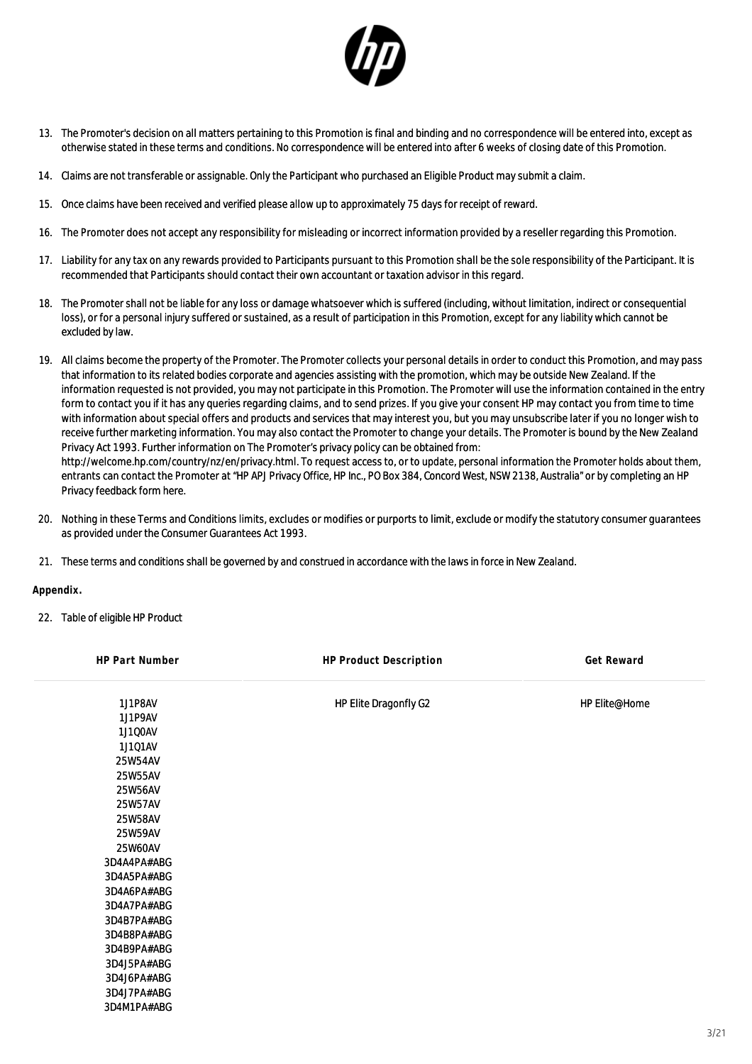

- 13. The Promoter's decision on all matters pertaining to this Promotion is final and binding and no correspondence will be entered into, except as otherwise stated in these terms and conditions. No correspondence will be entered into after 6 weeks of closing date of this Promotion.
- 14. Claims are not transferable or assignable. Only the Participant who purchased an Eligible Product may submit a claim.
- 15. Once claims have been received and verified please allow up to approximately 75 days for receipt of reward.
- 16. The Promoter does not accept any responsibility for misleading or incorrect information provided by a reseller regarding this Promotion.
- 17. Liability for any tax on any rewards provided to Participants pursuant to this Promotion shall be the sole responsibility of the Participant. It is recommended that Participants should contact their own accountant or taxation advisor in this regard.
- 18. The Promoter shall not be liable for any loss or damage whatsoever which is suffered (including, without limitation, indirect or consequential loss), or for a personal injury suffered or sustained, as a result of participation in this Promotion, except for any liability which cannot be excluded by law.
- 19. All claims become the property of the Promoter. The Promoter collects your personal details in order to conduct this Promotion, and may pass that information to its related bodies corporate and agencies assisting with the promotion, which may be outside New Zealand. If the information requested is not provided, you may not participate in this Promotion. The Promoter will use the information contained in the entry form to contact you if it has any queries regarding claims, and to send prizes. If you give your consent HP may contact you from time to time with information about special offers and products and services that may interest you, but you may unsubscribe later if you no longer wish to receive further marketing information. You may also contact the Promoter to change your details. The Promoter is bound by the New Zealand Privacy Act 1993. Further information on The Promoter's privacy policy can be obtained from: http://welcome.hp.com/country/nz/en/privacy.html. To request access to, or to update, personal information the Promoter holds about them, entrants can contact the Promoter at "HP APJ Privacy Office, HP Inc., PO Box 384, Concord West, NSW 2138, Australia" or by completing an HP Privacy feedback form here.
- 20. Nothing in these Terms and Conditions limits, excludes or modifies or purports to limit, exclude or modify the statutory consumer guarantees as provided under the Consumer Guarantees Act 1993.
- 21. These terms and conditions shall be governed by and construed in accordance with the laws in force in New Zealand.

**Appendix.**

22. Table of eligible HP Product

| HP Part Number | HP Product Description | Get Reward    |
|----------------|------------------------|---------------|
| 1J1P8AV        | HP Elite Dragonfly G2  | HP Elite@Home |
| 1J1P9AV        |                        |               |
| 1J1Q0AV        |                        |               |
| 1J101AV        |                        |               |
| 25W54AV        |                        |               |
| 25W55AV        |                        |               |
| 25W56AV        |                        |               |
| 25W57AV        |                        |               |
| 25W58AV        |                        |               |
| 25W59AV        |                        |               |
| 25W60AV        |                        |               |
| 3D4A4PA#ABG    |                        |               |
| 3D4A5PA#ABG    |                        |               |
| 3D4A6PA#ABG    |                        |               |
| 3D4A7PA#ABG    |                        |               |
| 3D4B7PA#ABG    |                        |               |
| 3D4B8PA#ABG    |                        |               |
| 3D4B9PA#ABG    |                        |               |
| 3D4J5PA#ABG    |                        |               |
| 3D4J6PA#ABG    |                        |               |
| 3D4J7PA#ABG    |                        |               |
| 3D4M1PA#ABG    |                        |               |
|                |                        |               |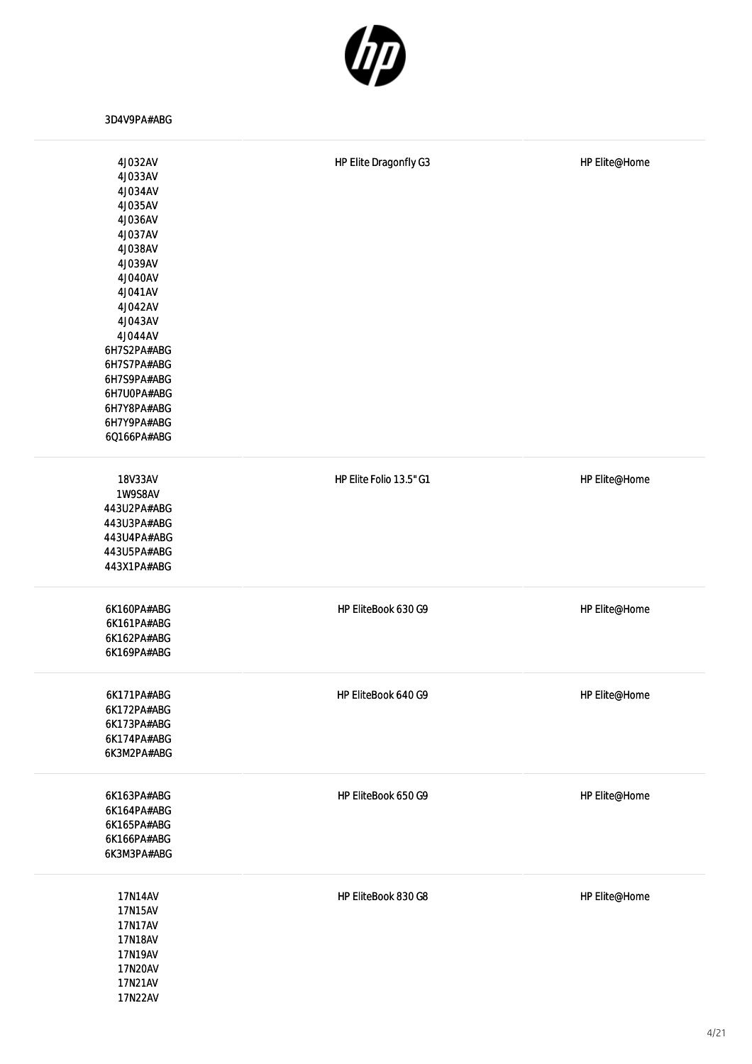

3D4V9PA#ABG

| 4J032AV<br>4J033AV<br>4J034AV | HP Elite Dragonfly G3   | HP Elite@Home |
|-------------------------------|-------------------------|---------------|
| 4J035AV<br>4J036AV            |                         |               |
| 4J037AV                       |                         |               |
| 4J038AV<br>4J039AV            |                         |               |
| 4J040AV                       |                         |               |
| 4J041AV                       |                         |               |
| 4J042AV                       |                         |               |
| 4J043AV                       |                         |               |
| 4J044AV                       |                         |               |
| 6H7S2PA#ABG<br>6H7S7PA#ABG    |                         |               |
| 6H7S9PA#ABG                   |                         |               |
| 6H7U0PA#ABG                   |                         |               |
| 6H7Y8PA#ABG                   |                         |               |
| 6H7Y9PA#ABG                   |                         |               |
| 6Q166PA#ABG                   |                         |               |
| 18V33AV                       | HP Elite Folio 13.5" G1 | HP Elite@Home |
| 1W9S8AV                       |                         |               |
| 443U2PA#ABG                   |                         |               |
| 443U3PA#ABG                   |                         |               |
| 443U4PA#ABG                   |                         |               |
| 443U5PA#ABG                   |                         |               |
| 443X1PA#ABG                   |                         |               |
| 6K160PA#ABG                   | HP EliteBook 630 G9     | HP Elite@Home |
| 6K161PA#ABG                   |                         |               |
| 6K162PA#ABG                   |                         |               |
| 6K169PA#ABG                   |                         |               |
| 6K171PA#ABG                   | HP EliteBook 640 G9     | HP Elite@Home |
| 6K172PA#ABG                   |                         |               |
| 6K173PA#ABG                   |                         |               |
| 6K174PA#ABG                   |                         |               |
| 6K3M2PA#ABG                   |                         |               |
| 6K163PA#ABG                   | HP EliteBook 650 G9     | HP Elite@Home |
| 6K164PA#ABG                   |                         |               |
| 6K165PA#ABG                   |                         |               |
| 6K166PA#ABG                   |                         |               |
| 6K3M3PA#ABG                   |                         |               |
| 17N14AV                       | HP EliteBook 830 G8     | HP Elite@Home |
| 17N15AV                       |                         |               |
| 17N17AV                       |                         |               |
| 17N18AV                       |                         |               |
| 17N19AV<br>17N20AV            |                         |               |
| 17N21AV                       |                         |               |
| 17N22AV                       |                         |               |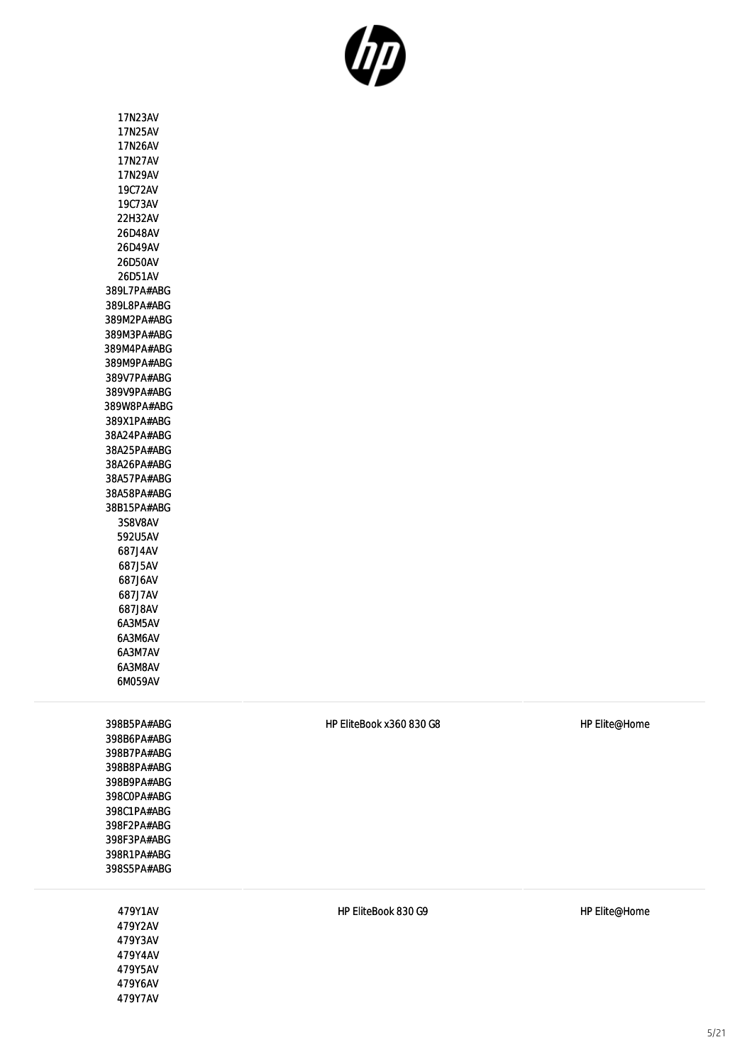

17N23AV 17N25AV 17N26AV 17N27AV 17N29AV 19C72AV 19C73AV 22H32AV 26D48AV 26D49AV 26D50AV 26D51AV 389L7PA#ABG 389L8PA#ABG 389M2PA#ABG 389M3PA#ABG 389M4PA#ABG 389M9PA#ABG 389V7PA#ABG 389V9PA#ABG 389W8PA#ABG 389X1PA#ABG 38A24PA#ABG 38A25PA#ABG 38A26PA#ABG 38A57PA#ABG 38A58PA#ABG 38B15PA#ABG 3S8V8AV 592U5AV 687J4AV 687J5AV 687J6AV 687J7AV 687J8AV 6A3M5AV 6A3M6AV 6A3M7AV 6A3M8AV 6M059AV

398B5PA#ABG 398B6PA#ABG 398B7PA#ABG 398B8PA#ABG 398B9PA#ABG 398C0PA#ABG 398C1PA#ABG 398F2PA#ABG 398F3PA#ABG 398R1PA#ABG 398S5PA#ABG

> 479Y1AV 479Y2AV 479Y3AV 479Y4AV 479Y5AV 479Y6AV 479Y7AV

HP EliteBook x360 830 G8 HP Elite@Home

HP EliteBook 830 G9 HP Elite@Home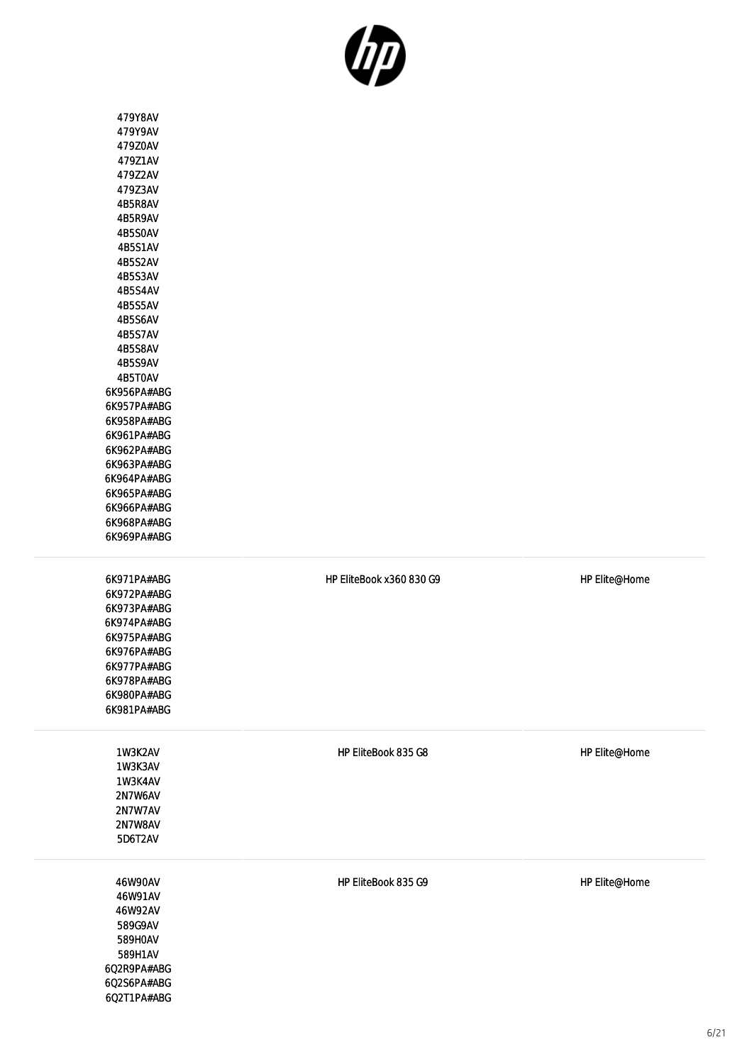

| 479Y8AV<br>479Y9AV<br>479Z0AV<br>479Z1AV<br>479Z2AV<br>479Z3AV<br>4B5R8AV<br>4B5R9AV<br>4B5S0AV<br>4B5S1AV<br>4B5S2AV<br>4B5S3AV<br>4B5S4AV<br>4B5S5AV<br>4B5S6AV<br>4B5S7AV<br>4B5S8AV<br>4B5S9AV<br>4B5T0AV<br>6K956PA#ABG<br>6K957PA#ABG<br>6K958PA#ABG<br>6K961PA#ABG<br>6K962PA#ABG<br>6K963PA#ABG<br>6K964PA#ABG<br>6K965PA#ABG<br>6K966PA#ABG<br>6K968PA#ABG<br>6K969PA#ABG |                          |               |
|------------------------------------------------------------------------------------------------------------------------------------------------------------------------------------------------------------------------------------------------------------------------------------------------------------------------------------------------------------------------------------|--------------------------|---------------|
| 6K971PA#ABG<br>6K972PA#ABG<br>6K973PA#ABG<br>6K974PA#ABG<br>6K975PA#ABG<br>6K976PA#ABG<br>6K977PA#ABG<br>6K978PA#ABG<br>6K980PA#ABG<br>6K981PA#ABG                                                                                                                                                                                                                                 | HP EliteBook x360 830 G9 | HP Elite@Home |
| 1W3K2AV<br>1W3K3AV<br>1W3K4AV<br>2N7W6AV<br>2N7W7AV<br>2N7W8AV<br>5D6T2AV                                                                                                                                                                                                                                                                                                          | HP EliteBook 835 G8      | HP Elite@Home |
| 46W90AV<br>46W91AV<br>46W92AV<br>589G9AV<br>589H0AV<br>589H1AV<br>6Q2R9PA#ABG<br>6Q2S6PA#ABG<br>6Q2T1PA#ABG                                                                                                                                                                                                                                                                        | HP EliteBook 835 G9      | HP Elite@Home |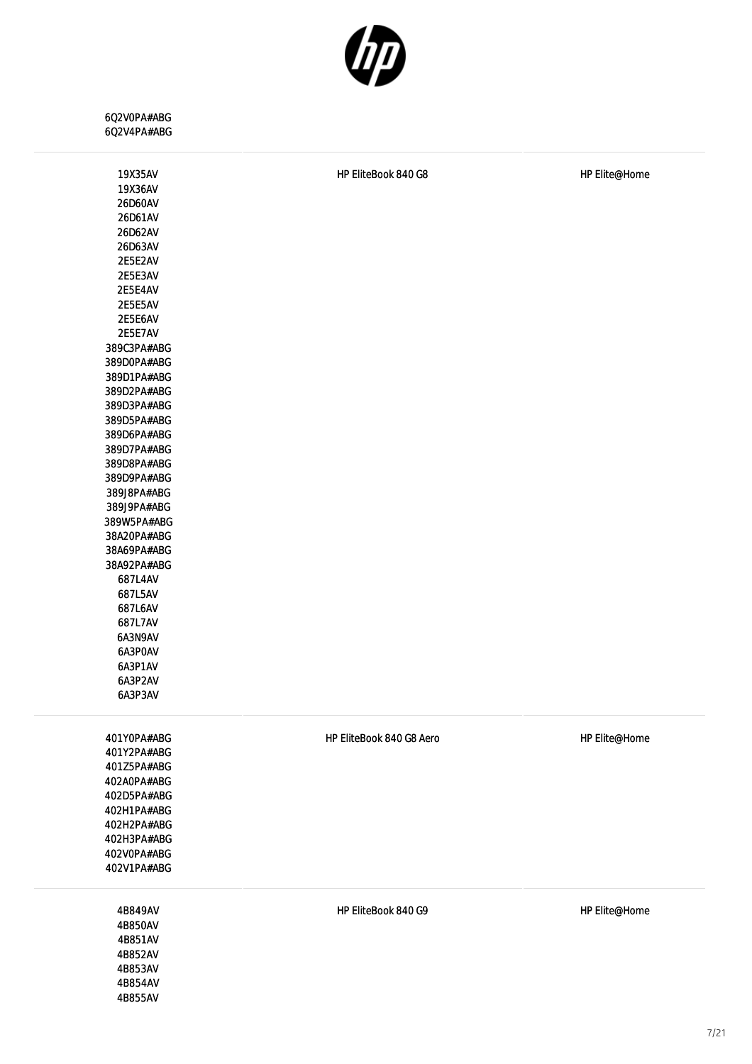

6Q2V0PA#ABG 6Q2V4PA#ABG

| 19X35AV     | HP EliteBook 840 G8      | HP Elite@Home |
|-------------|--------------------------|---------------|
| 19X36AV     |                          |               |
| 26D60AV     |                          |               |
| 26D61AV     |                          |               |
| 26D62AV     |                          |               |
| 26D63AV     |                          |               |
| 2E5E2AV     |                          |               |
| 2E5E3AV     |                          |               |
| 2E5E4AV     |                          |               |
| 2E5E5AV     |                          |               |
| 2E5E6AV     |                          |               |
| 2E5E7AV     |                          |               |
| 389C3PA#ABG |                          |               |
| 389D0PA#ABG |                          |               |
| 389D1PA#ABG |                          |               |
| 389D2PA#ABG |                          |               |
| 389D3PA#ABG |                          |               |
| 389D5PA#ABG |                          |               |
| 389D6PA#ABG |                          |               |
| 389D7PA#ABG |                          |               |
| 389D8PA#ABG |                          |               |
| 389D9PA#ABG |                          |               |
| 389J8PA#ABG |                          |               |
| 389J9PA#ABG |                          |               |
| 389W5PA#ABG |                          |               |
| 38A20PA#ABG |                          |               |
| 38A69PA#ABG |                          |               |
| 38A92PA#ABG |                          |               |
| 687L4AV     |                          |               |
| 687L5AV     |                          |               |
| 687L6AV     |                          |               |
| 687L7AV     |                          |               |
| 6A3N9AV     |                          |               |
| 6A3P0AV     |                          |               |
| 6A3P1AV     |                          |               |
| 6A3P2AV     |                          |               |
| 6A3P3AV     |                          |               |
|             |                          |               |
| 401YOPA#ABG | HP EliteBook 840 G8 Aero | HP Elite@Home |
| 401Y2PA#ABG |                          |               |
| 401Z5PA#ABG |                          |               |
| 402A0PA#ABG |                          |               |
| 402D5PA#ABG |                          |               |
| 402H1PA#ABG |                          |               |
| 402H2PA#ABG |                          |               |
| 402H3PA#ABG |                          |               |
| 402V0PA#ABG |                          |               |
| 402V1PA#ABG |                          |               |
|             |                          |               |
| 4B849AV     | HP EliteBook 840 G9      | HP Elite@Home |
| 4B850AV     |                          |               |
| 4B851AV     |                          |               |
| 4B852AV     |                          |               |
| 4B853AV     |                          |               |
|             |                          |               |

4B854AV 4B855AV

7/21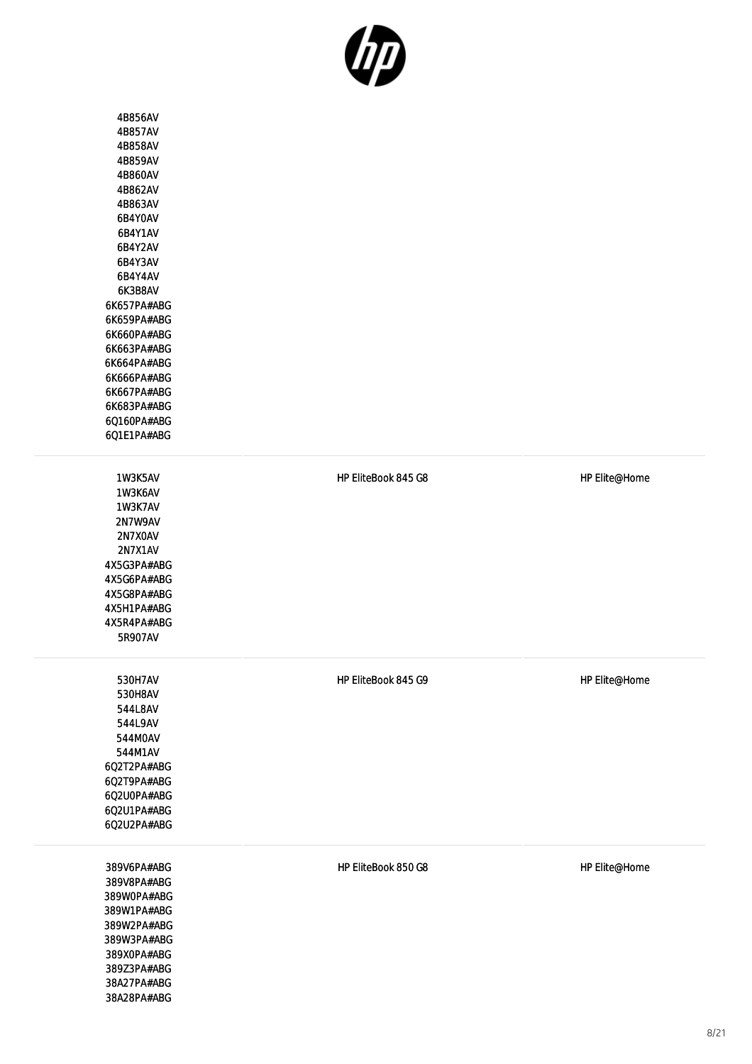4B856AV 4B857AV 4B858AV 4B859AV 4B860AV 4B862AV 4B863AV 6B4Y0AV 6B4Y1AV 6B4Y2AV 6B4Y3AV 6B4Y4AV 6K3B8AV 6K657PA#ABG 6K659PA#ABG 6K660PA#ABG 6K663PA#ABG 6K664PA#ABG 6K666PA#ABG 6K667PA#ABG 6K683PA#ABG 6Q160PA#ABG 6Q1E1PA#ABG

1W3K5AV 1W3K6AV 1W3K7AV 2N7W9AV 2N7X0AV 2N7X1AV 4X5G3PA#ABG 4X5G6PA#ABG 4X5G8PA#ABG 4X5H1PA#ABG 4X5R4PA#ABG 5R907AV

530H7AV 530H8AV 544L8AV 544L9AV 544M0AV 544M1AV 6Q2T2PA#ABG 6Q2T9PA#ABG 6Q2U0PA#ABG 6Q2U1PA#ABG 6Q2U2PA#ABG

389V6PA#ABG 389V8PA#ABG 389W0PA#ABG 389W1PA#ABG 389W2PA#ABG 389W3PA#ABG 389X0PA#ABG 389Z3PA#ABG 38A27PA#ABG 38A28PA#ABG

HP EliteBook 850 G8 HP Elite@Home

HP EliteBook 845 G8 HP Elite@Home

HP EliteBook 845 G9 HP Elite@Home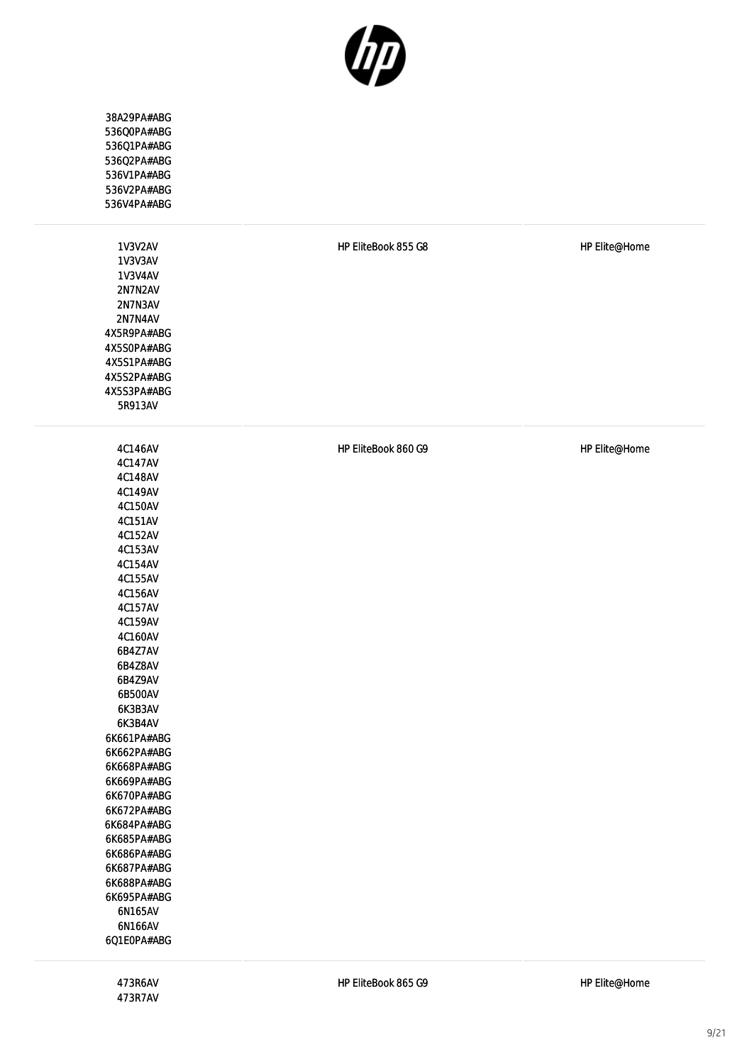

| 38A29PA#ABG<br>536Q0PA#ABG<br>536Q1PA#ABG<br>536Q2PA#ABG<br>536V1PA#ABG<br>536V2PA#ABG<br>536V4PA#ABG                                                                                                                                                                                                                                                                                                                                             |                     |               |
|---------------------------------------------------------------------------------------------------------------------------------------------------------------------------------------------------------------------------------------------------------------------------------------------------------------------------------------------------------------------------------------------------------------------------------------------------|---------------------|---------------|
| 1V3V2AV<br><b>1V3V3AV</b><br><b>1V3V4AV</b><br>2N7N2AV<br>2N7N3AV<br>2N7N4AV<br>4X5R9PA#ABG<br>4X5S0PA#ABG<br>4X5S1PA#ABG<br>4X5S2PA#ABG<br>4X5S3PA#ABG<br>5R913AV                                                                                                                                                                                                                                                                                | HP EliteBook 855 G8 | HP Elite@Home |
| 4C146AV<br>4C147AV<br>4C148AV<br>4C149AV<br>4C150AV<br>4C151AV<br>4C152AV<br>4C153AV<br>4C154AV<br>4C155AV<br>4C156AV<br>4C157AV<br>4C159AV<br>4C160AV<br>6B4Z7AV<br>6B4Z8AV<br>6B4Z9AV<br>6B500AV<br>6K3B3AV<br>6K3B4AV<br>6K661PA#ABG<br>6K662PA#ABG<br>6K668PA#ABG<br>6K669PA#ABG<br>6K670PA#ABG<br>6K672PA#ABG<br>6K684PA#ABG<br>6K685PA#ABG<br>6K686PA#ABG<br>6K687PA#ABG<br>6K688PA#ABG<br>6K695PA#ABG<br>6N165AV<br>6N166AV<br>6Q1E0PA#ABG | HP EliteBook 860 G9 | HP Elite@Home |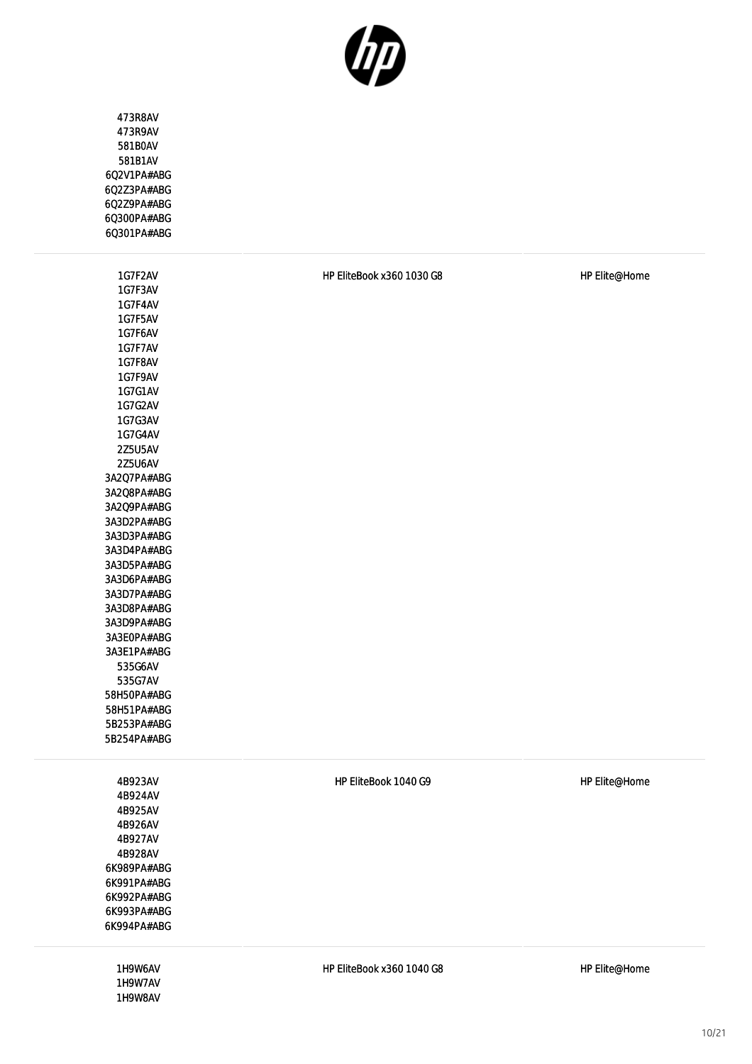

| 473R8AV<br>473R9AV<br>581B0AV<br>581B1AV<br>6Q2V1PA#ABG<br>6Q2Z3PA#ABG<br>6Q2Z9PA#ABG<br>6Q300PA#ABG<br>6Q301PA#ABG                                                                                                                                                                                                                                                                                                                         |                           |               |
|---------------------------------------------------------------------------------------------------------------------------------------------------------------------------------------------------------------------------------------------------------------------------------------------------------------------------------------------------------------------------------------------------------------------------------------------|---------------------------|---------------|
| 1G7F2AV<br>1G7F3AV<br>1G7F4AV<br>1G7F5AV<br>1G7F6AV<br>1G7F7AV<br>1G7F8AV<br>1G7F9AV<br>1G7G1AV<br>1G7G2AV<br>1G7G3AV<br>1G7G4AV<br>2Z5U5AV<br>2Z5U6AV<br>3A2Q7PA#ABG<br>3A2Q8PA#ABG<br>3A2Q9PA#ABG<br>3A3D2PA#ABG<br>3A3D3PA#ABG<br>3A3D4PA#ABG<br>3A3D5PA#ABG<br>3A3D6PA#ABG<br>3A3D7PA#ABG<br>3A3D8PA#ABG<br>3A3D9PA#ABG<br>3A3E0PA#ABG<br>3A3E1PA#ABG<br>535G6AV<br>535G7AV<br>58H50PA#ABG<br>58H51PA#ABG<br>5B253PA#ABG<br>5B254PA#ABG | HP EliteBook x360 1030 G8 | HP Elite@Home |
| 4B923AV<br>4B924AV<br>4B925AV<br>4B926AV<br>4B927AV<br>4B928AV<br>6K989PA#ABG<br>6K991PA#ABG<br>6K992PA#ABG<br>6K993PA#ABG<br>6K994PA#ABG                                                                                                                                                                                                                                                                                                   | HP EliteBook 1040 G9      | HP Elite@Home |
| 1H9W6AV<br>1H9W7AV<br>1H9W8AV                                                                                                                                                                                                                                                                                                                                                                                                               | HP EliteBook x360 1040 G8 | HP Elite@Home |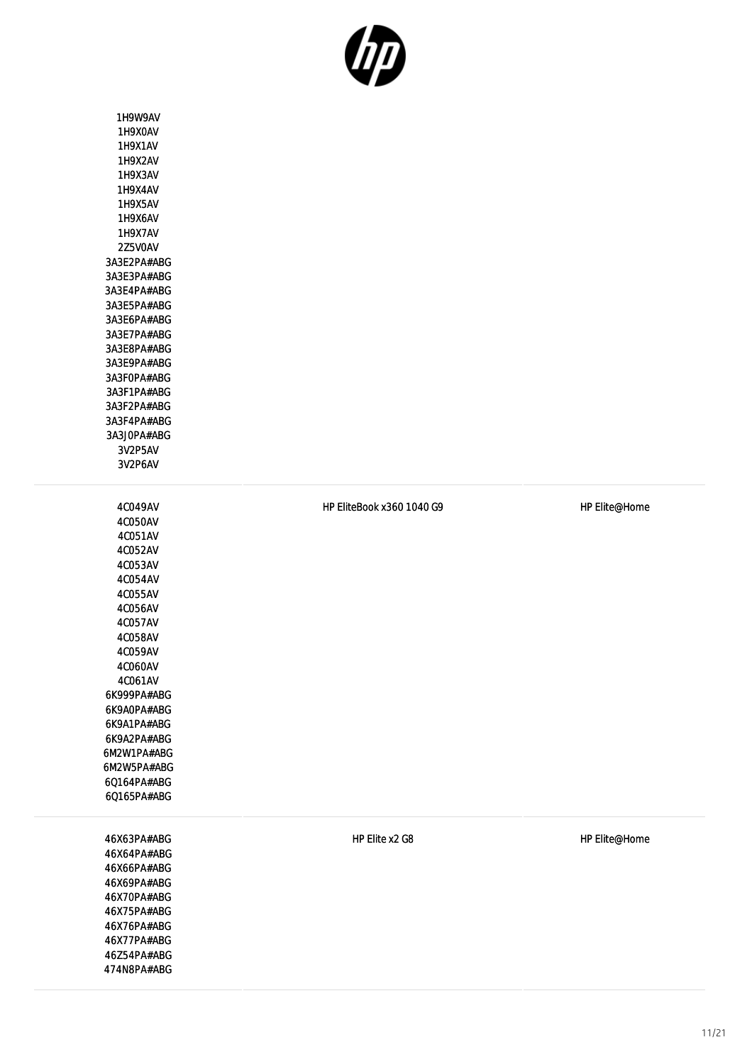

1H9W9AV 1H9X0AV 1H9X1AV 1H9X2AV 1H9X3AV 1H9X4AV 1H9X5AV 1H9X6AV 1H9X7AV 2Z5V0AV 3A3E2PA#ABG 3A3E3PA#ABG 3A3E4PA#ABG 3A3E5PA#ABG 3A3E6PA#ABG 3A3E7PA#ABG 3A3E8PA#ABG 3A3E9PA#ABG 3A3F0PA#ABG 3A3F1PA#ABG 3A3F2PA#ABG 3A3F4PA#ABG 3A3J0PA#ABG 3V2P5AV 3V2P6AV 4C049AV 4C050AV 4C051AV 4C052AV 4C053AV 4C054AV 4C055AV 4C056AV 4C057AV 4C058AV

4C059AV 4C060AV 4C061AV 6K999PA#ABG 6K9A0PA#ABG 6K9A1PA#ABG 6K9A2PA#ABG 6M2W1PA#ABG 6M2W5PA#ABG 6Q164PA#ABG 6Q165PA#ABG

46X63PA#ABG 46X64PA#ABG 46X66PA#ABG 46X69PA#ABG 46X70PA#ABG 46X75PA#ABG 46X76PA#ABG 46X77PA#ABG 46Z54PA#ABG 474N8PA#ABG HP EliteBook x360 1040 G9 HP Elite@Home

HP Elite x2 G8 HP Elite@Home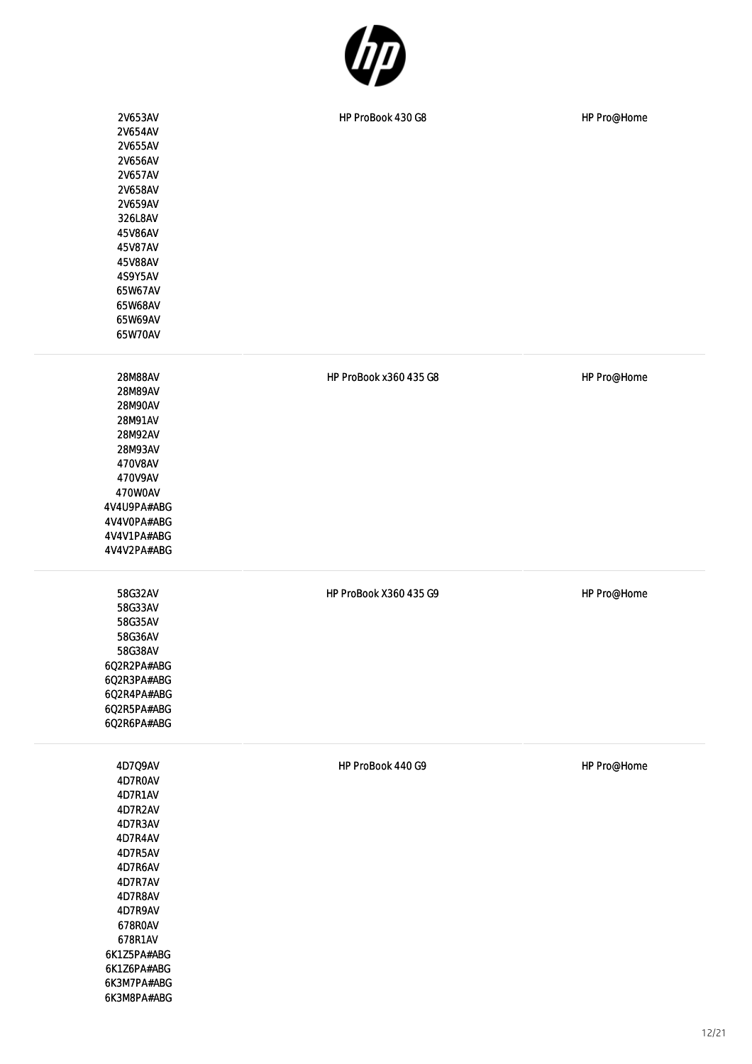

| 2V653AV<br>2V654AV<br>2V655AV<br>2V656AV<br>2V657AV<br>2V658AV<br>2V659AV<br>326L8AV<br>45V86AV<br>45V87AV<br>45V88AV<br>4S9Y5AV<br>65W67AV<br>65W68AV<br>65W69AV<br>65W70AV             | HP ProBook 430 G8      | HP Pro@Home |
|------------------------------------------------------------------------------------------------------------------------------------------------------------------------------------------|------------------------|-------------|
| 28M88AV<br>28M89AV<br>28M90AV<br>28M91AV<br>28M92AV<br>28M93AV<br>470V8AV<br>470V9AV<br>470W0AV<br>4V4U9PA#ABG<br>4V4V0PA#ABG<br>4V4V1PA#ABG<br>4V4V2PA#ABG                              | HP ProBook x360 435 G8 | HP Pro@Home |
| 58G32AV<br>58G33AV<br>58G35AV<br>58G36AV<br>58G38AV<br>6Q2R2PA#ABG<br>6Q2R3PA#ABG<br>6Q2R4PA#ABG<br>6Q2R5PA#ABG<br>6Q2R6PA#ABG                                                           | HP ProBook X360 435 G9 | HP Pro@Home |
| 4D7Q9AV<br>4D7R0AV<br>4D7R1AV<br>4D7R2AV<br>4D7R3AV<br>4D7R4AV<br>4D7R5AV<br>4D7R6AV<br>4D7R7AV<br>4D7R8AV<br>4D7R9AV<br>678ROAV<br>678R1AV<br>6K1Z5PA#ABG<br>6K1Z6PA#ABG<br>6K3M7PA#ABG | HP ProBook 440 G9      | HP Pro@Home |

6K3M8PA#ABG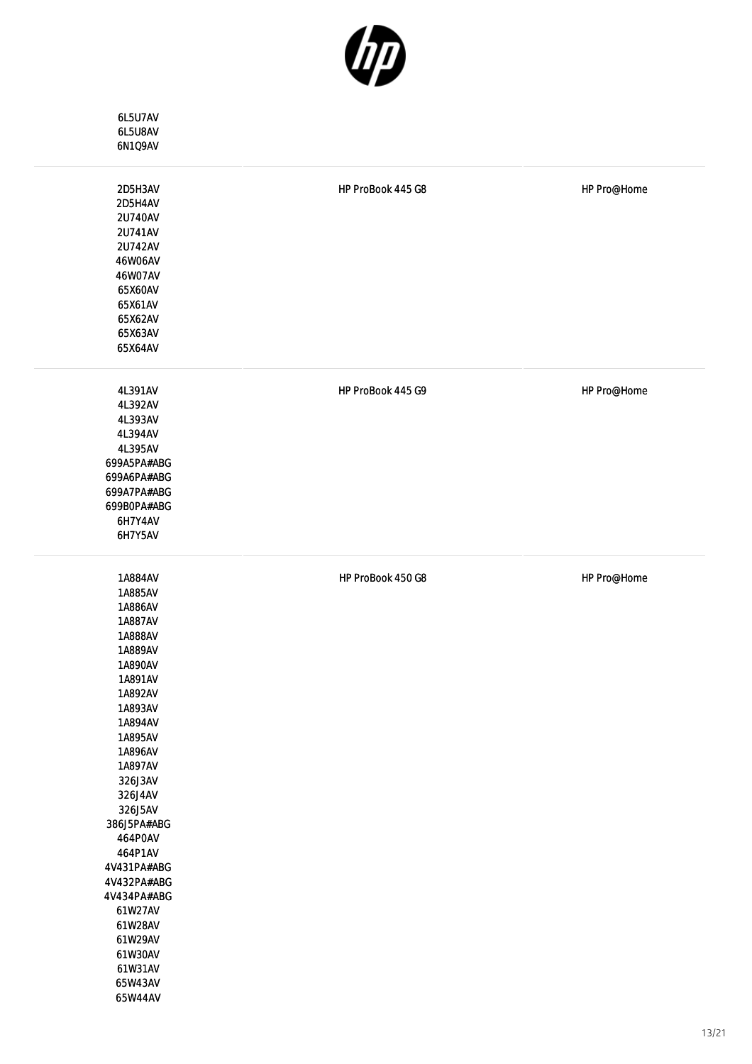

| 6L5U7AV<br>6L5U8AV<br>6N1Q9AV                                                                                                                                                                                                                                                                                                                          |                   |             |
|--------------------------------------------------------------------------------------------------------------------------------------------------------------------------------------------------------------------------------------------------------------------------------------------------------------------------------------------------------|-------------------|-------------|
| 2D5H3AV<br>2D5H4AV<br>2U740AV<br>2U741AV<br>2U742AV<br>46W06AV<br>46W07AV<br>65X60AV<br>65X61AV<br>65X62AV<br>65X63AV<br>65X64AV                                                                                                                                                                                                                       | HP ProBook 445 G8 | HP Pro@Home |
| 4L391AV<br>4L392AV<br>4L393AV<br>4L394AV<br>4L395AV<br>699A5PA#ABG<br>699A6PA#ABG<br>699A7PA#ABG<br>699BOPA#ABG<br>6H7Y4AV<br>6H7Y5AV                                                                                                                                                                                                                  | HP ProBook 445 G9 | HP Pro@Home |
| 1A884AV<br>1A885AV<br>1A886AV<br>1A887AV<br>1A888AV<br>1A889AV<br>1A890AV<br>1A891AV<br>1A892AV<br>1A893AV<br>1A894AV<br>1A895AV<br>1A896AV<br>1A897AV<br>326J3AV<br>326J4AV<br>326J5AV<br>386J5PA#ABG<br>464POAV<br>464P1AV<br>4V431PA#ABG<br>4V432PA#ABG<br>4V434PA#ABG<br>61W27AV<br>61W28AV<br>61W29AV<br>61W30AV<br>61W31AV<br>65W43AV<br>65W44AV | HP ProBook 450 G8 | HP Pro@Home |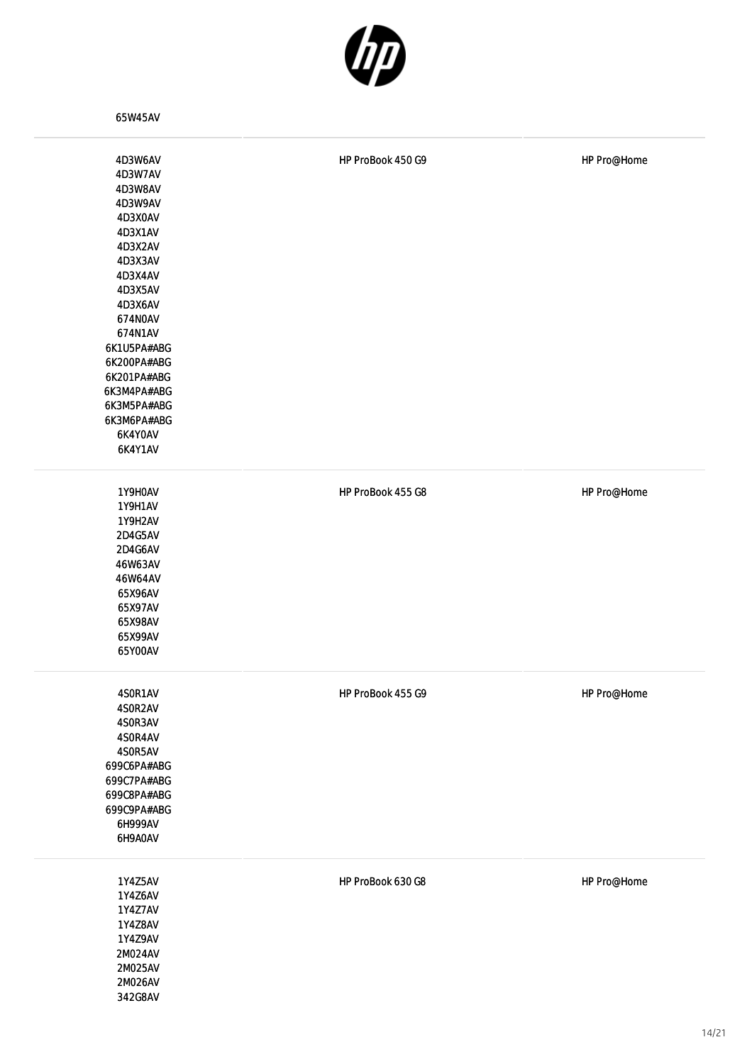

65W45AV

| 4D3W6AV<br>4D3W7AV<br>4D3W8AV<br>4D3W9AV<br>4D3X0AV<br>4D3X1AV<br>4D3X2AV<br>4D3X3AV<br>4D3X4AV<br>4D3X5AV<br>4D3X6AV<br>674NOAV<br>674N1AV<br>6K1U5PA#ABG<br>6K200PA#ABG<br>6K201PA#ABG<br>6K3M4PA#ABG<br>6K3M5PA#ABG<br>6K3M6PA#ABG<br>6K4Y0AV<br>6K4Y1AV | HP ProBook 450 G9 | HP Pro@Home |
|-------------------------------------------------------------------------------------------------------------------------------------------------------------------------------------------------------------------------------------------------------------|-------------------|-------------|
| 1Y9H0AV<br><b>1Y9H1AV</b><br>1Y9H2AV<br>2D4G5AV<br>2D4G6AV<br>46W63AV<br>46W64AV<br>65X96AV<br>65X97AV<br>65X98AV<br>65X99AV<br>65Y00AV                                                                                                                     | HP ProBook 455 G8 | HP Pro@Home |
| 4SOR1AV<br>4SOR2AV<br>4SOR3AV<br>4SOR4AV<br>4SOR5AV<br>699C6PA#ABG<br>699C7PA#ABG<br>699C8PA#ABG<br>699C9PA#ABG<br>6H999AV<br>6H9A0AV                                                                                                                       | HP ProBook 455 G9 | HP Pro@Home |
| 1Y4Z5AV<br>1Y4Z6AV<br>1Y4Z7AV<br>1Y4Z8AV<br>1Y4Z9AV<br>2M024AV<br>2M025AV<br>2M026AV<br>342G8AV                                                                                                                                                             | HP ProBook 630 G8 | HP Pro@Home |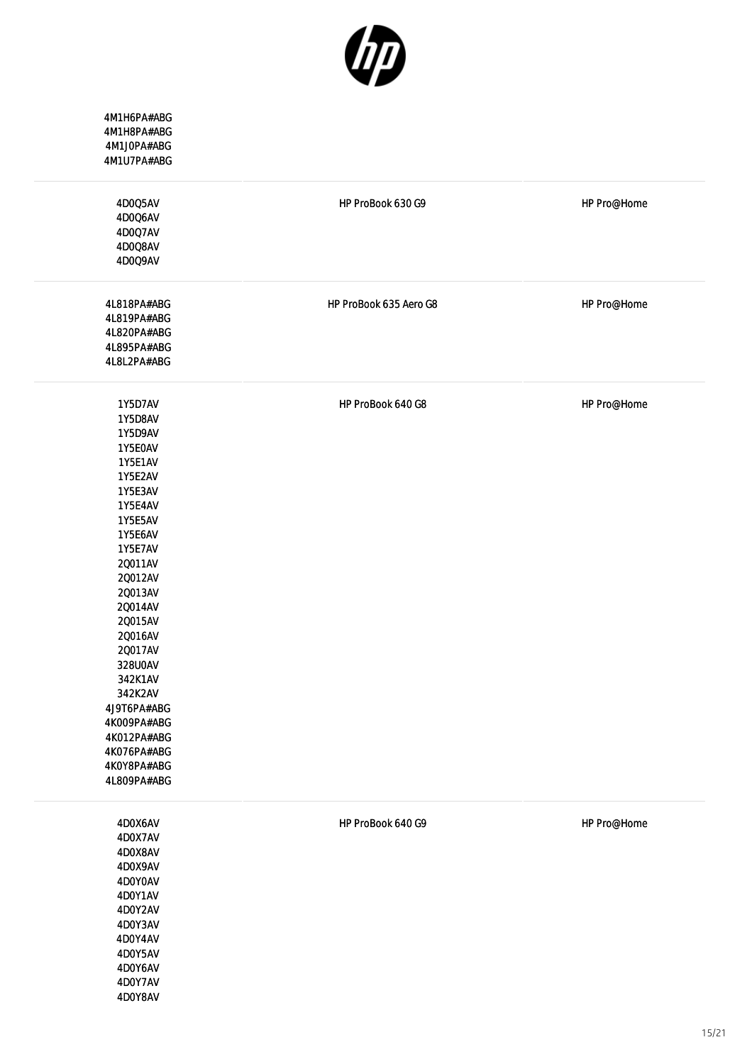

| 4M1H6PA#ABG<br>4M1H8PA#ABG<br>4M1J0PA#ABG<br>4M1U7PA#ABG                                                                                                                                                                                                                                                                                    |                        |             |
|---------------------------------------------------------------------------------------------------------------------------------------------------------------------------------------------------------------------------------------------------------------------------------------------------------------------------------------------|------------------------|-------------|
| 4D005AV<br>4D0Q6AV<br>4D0Q7AV<br>4D0Q8AV<br>4D0Q9AV                                                                                                                                                                                                                                                                                         | HP ProBook 630 G9      | HP Pro@Home |
| 4L818PA#ABG<br>4L819PA#ABG<br>4L820PA#ABG<br>4L895PA#ABG<br>4L8L2PA#ABG                                                                                                                                                                                                                                                                     | HP ProBook 635 Aero G8 | HP Pro@Home |
| 1Y5D7AV<br>1Y5D8AV<br>1Y5D9AV<br>1Y5E0AV<br><b>1Y5E1AV</b><br>1Y5E2AV<br>1Y5E3AV<br><b>1Y5E4AV</b><br>1Y5E5AV<br>1Y5E6AV<br>1Y5E7AV<br>20011AV<br>20012AV<br>20013AV<br>20014AV<br>20015AV<br>20016AV<br>20017AV<br>328U0AV<br>342K1AV<br>342K2AV<br>4J9T6PA#ABG<br>4K009PA#ABG<br>4K012PA#ABG<br>4K076PA#ABG<br>4K0Y8PA#ABG<br>4L809PA#ABG | HP ProBook 640 G8      | HP Pro@Home |
| 4D0X6AV<br>4D0X7AV<br>4D0X8AV<br>4D0X9AV<br>4D0Y0AV<br>4D0Y1AV<br>4D0Y2AV<br>4D0Y3AV<br>4D0Y4AV<br>4D0Y5AV<br>4D0Y6AV<br>4D0Y7AV<br>4D0Y8AV                                                                                                                                                                                                 | HP ProBook 640 G9      | HP Pro@Home |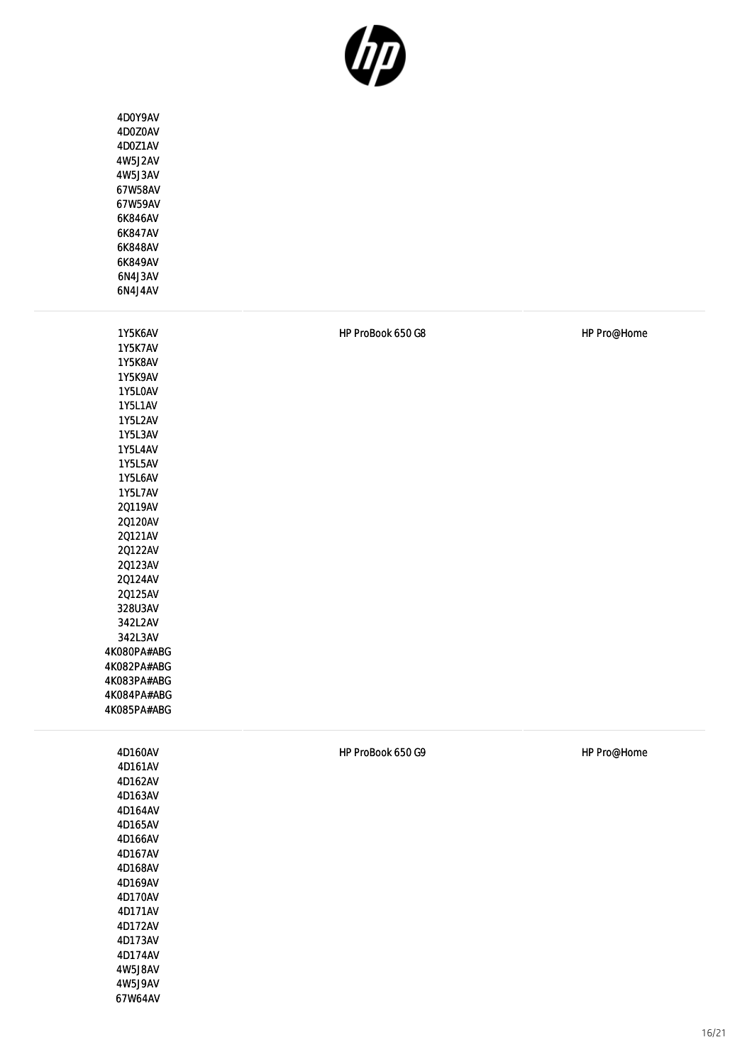

| 4D0Y9AV<br>4D0Z0AV<br>4D0Z1AV<br>4W5J2AV<br>4W5J3AV<br>67W58AV<br>67W59AV<br>6K846AV<br>6K847AV<br>6K848AV<br>6K849AV<br>6N4J3AV<br>6N4J4AV                                                                                                                                                                                             |                   |             |
|-----------------------------------------------------------------------------------------------------------------------------------------------------------------------------------------------------------------------------------------------------------------------------------------------------------------------------------------|-------------------|-------------|
| 1Y5K6AV<br>1Y5K7AV<br>1Y5K8AV<br>1Y5K9AV<br>1Y5L0AV<br><b>1Y5L1AV</b><br>1Y5L2AV<br>1Y5L3AV<br><b>1Y5L4AV</b><br>1Y5L5AV<br>1Y5L6AV<br>1Y5L7AV<br>20119AV<br>20120AV<br>20121AV<br>20122AV<br>20123AV<br>20124AV<br>20125AV<br>328U3AV<br>342L2AV<br>342L3AV<br>4K080PA#ABG<br>4K082PA#ABG<br>4K083PA#ABG<br>4K084PA#ABG<br>4K085PA#ABG | HP ProBook 650 G8 | HP Pro@Home |
| 4D160AV<br>4D161AV<br>4D162AV<br>4D163AV<br>4D164AV<br>4D165AV<br>4D166AV<br>4D167AV<br>4D168AV<br>4D169AV<br>4D170AV<br>4D171AV<br>4D172AV<br>4D173AV<br>4D174AV<br>4W5J8AV<br>4W5J9AV<br>67W64AV                                                                                                                                      | HP ProBook 650 G9 | HP Pro@Home |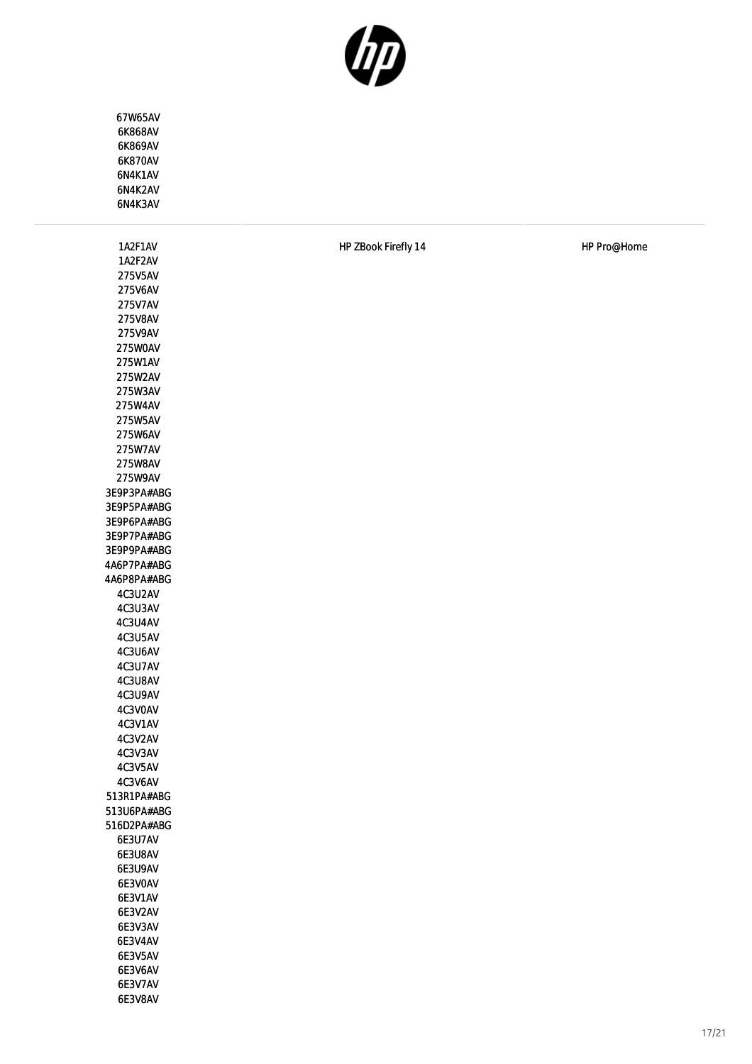

| 67W65AV     |                     |
|-------------|---------------------|
| 6K868AV     |                     |
| 6K869AV     |                     |
| 6K870AV     |                     |
| 6N4K1AV     |                     |
| 6N4K2AV     |                     |
| 6N4K3AV     |                     |
|             |                     |
|             |                     |
| 1A2F1AV     | HP ZBook Firefly 14 |
| 1A2F2AV     |                     |
| 275V5AV     |                     |
| 275V6AV     |                     |
| 275V7AV     |                     |
| 275V8AV     |                     |
| 275V9AV     |                     |
| 275W0AV     |                     |
| 275W1AV     |                     |
| 275W2AV     |                     |
| 275W3AV     |                     |
| 275W4AV     |                     |
| 275W5AV     |                     |
| 275W6AV     |                     |
| 275W7AV     |                     |
| 275W8AV     |                     |
| 275W9AV     |                     |
| 3E9P3PA#ABG |                     |
| 3E9P5PA#ABG |                     |
| 3E9P6PA#ABG |                     |
| 3E9P7PA#ABG |                     |
| 3E9P9PA#ABG |                     |
| 4A6P7PA#ABG |                     |
| 4A6P8PA#ABG |                     |
| 4C3U2AV     |                     |
| 4C3U3AV     |                     |
| 4C3U4AV     |                     |
| 4C3U5AV     |                     |
| 4C3U6AV     |                     |
| 4C3U7AV     |                     |
| 4C3U8AV     |                     |
| 4C3U9AV     |                     |
| 4C3VOAV     |                     |
| 4C3V1AV     |                     |
| 4C3V2AV     |                     |
| 4C3V3AV     |                     |
| 4C3V5AV     |                     |
| 4C3V6AV     |                     |
| 513R1PA#ABG |                     |
| 513U6PA#ABG |                     |
| 516D2PA#ABG |                     |
| 6E3U7AV     |                     |
| 6E3U8AV     |                     |
| 6E3U9AV     |                     |
| 6E3V0AV     |                     |
| 6E3V1AV     |                     |
| 6E3V2AV     |                     |
| 6E3V3AV     |                     |
| 6E3V4AV     |                     |
| 6E3V5AV     |                     |
| 6E3V6AV     |                     |
| 6E3V7AV     |                     |
| 6E3V8AV     |                     |

HP Pro@Home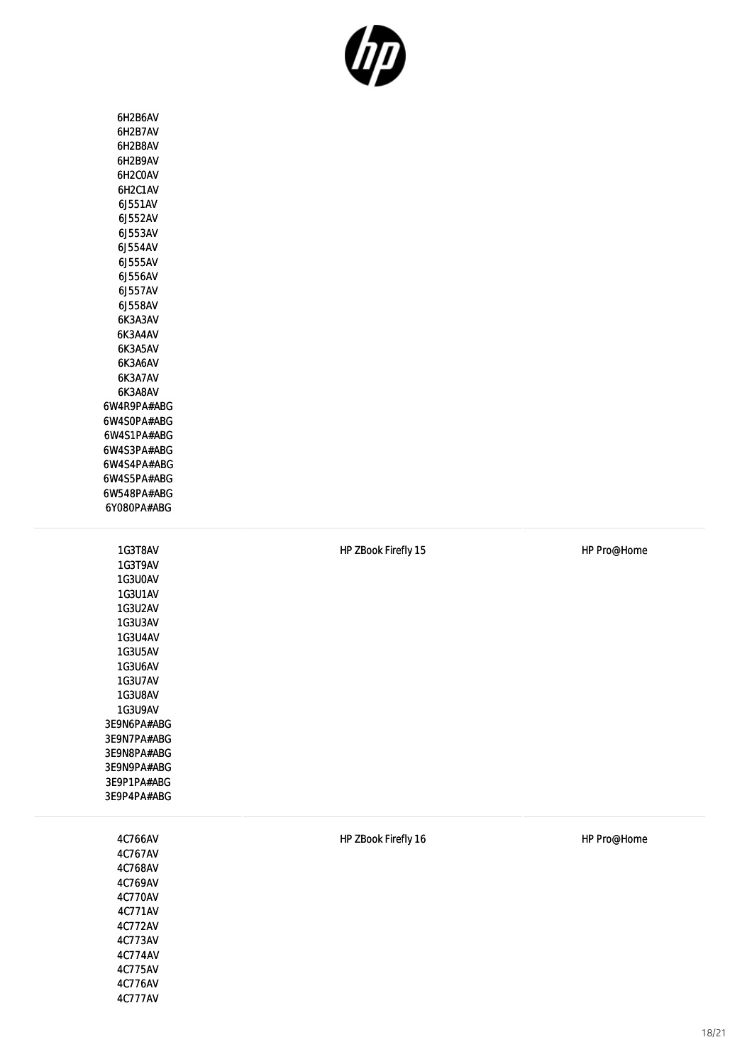

| 6H2B6AV<br>6H2B7AV<br>6H2B8AV<br>6H2B9AV<br>6H2COAV<br>6H2C1AV<br>6J551AV<br>6J552AV<br>6J553AV<br>6J554AV<br>6.1555AV<br>6J556AV<br>6J557AV<br>6J558AV<br>6K3A3AV<br>6K3A4AV<br>6K3A5AV<br>6K3A6AV<br>6K3A7AV<br>6K3A8AV<br>6W4R9PA#ABG<br>6W4SOPA#ABG<br>6W4S1PA#ABG<br>6W4S3PA#ABG<br>6W4S4PA#ABG<br>6W4S5PA#ABG<br>6W548PA#ABG<br>6Y080PA#ABG |
|---------------------------------------------------------------------------------------------------------------------------------------------------------------------------------------------------------------------------------------------------------------------------------------------------------------------------------------------------|
| 1G3T8AV<br>1G3T9AV<br>1G3U0AV<br>1G3U1AV<br>1G3U2AV<br>1G3U3AV<br><b>1G3U4AV</b><br>1G3U5AV<br>1G3U6AV<br>1G3U7AV<br>1G3U8AV<br>1G3U9AV<br>3E9N6PA#ABG<br>3E9N7PA#ABG<br>3E9N8PA#ABG<br>3E9N9PA#ABG<br>3E9P1PA#ABG<br>3E9P4PA#ABG                                                                                                                 |
| 4C766AV<br>4C767AV<br>4C768AV<br>4C769AV<br>4C770AV<br>4C771AV                                                                                                                                                                                                                                                                                    |

4C772AV 4C773AV 4C774AV 4C775AV 4C776AV 4C777AV HP ZBook Firefly 15 **HP 2Book Firefly 15** 

HP ZBook Firefly 16 **HP 2Book Firefly 16** HP Pro@Home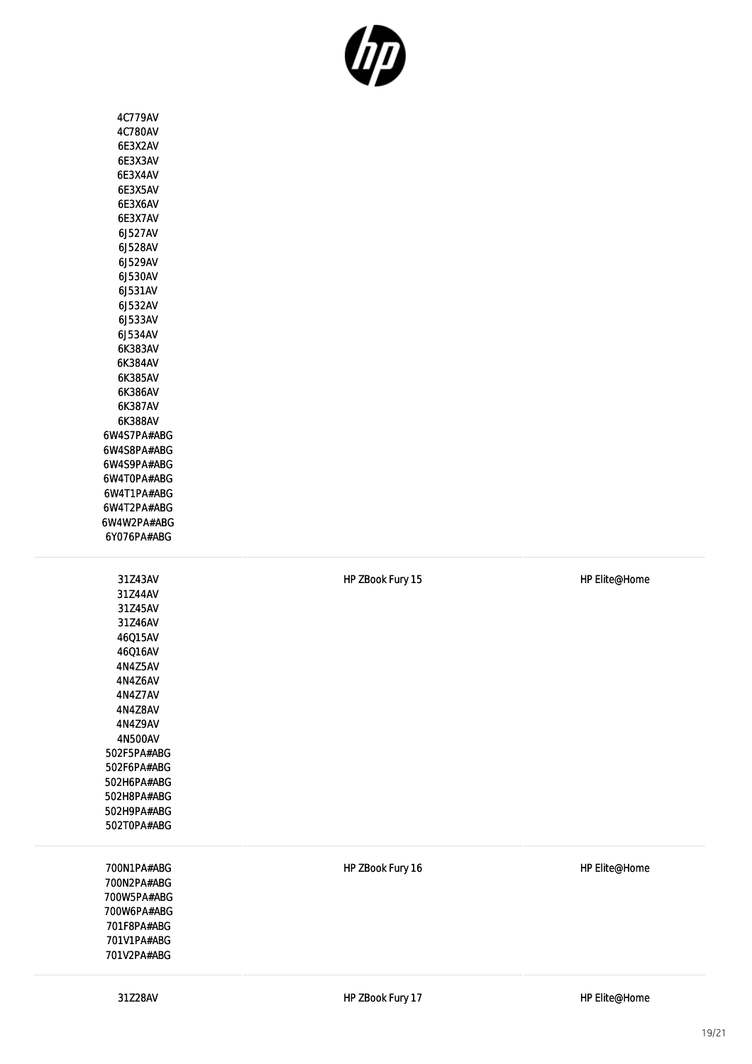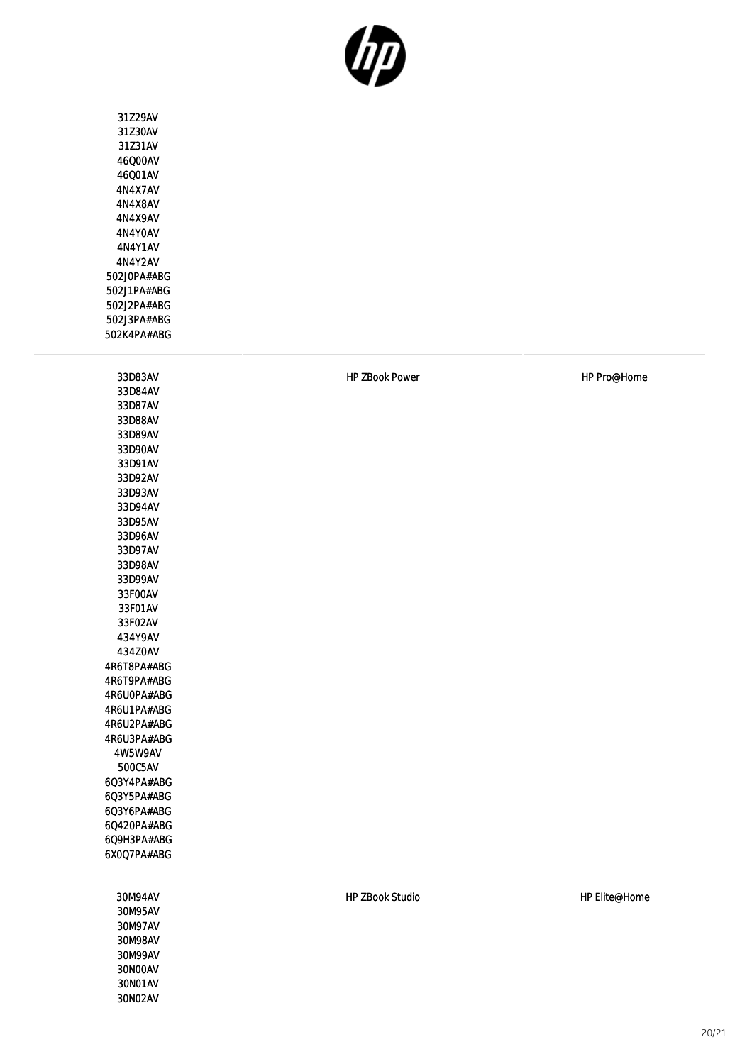

31Z29AV 31Z30AV 31Z31AV 46Q00AV 46Q01AV 4N4X7AV 4N4X8AV 4N4X9AV 4N4Y0AV 4N4Y1AV 4N4Y2AV 502J0PA#ABG 502J1PA#ABG 502J2PA#ABG 502J3PA#ABG 502K4PA#ABG

33D83AV 33D84AV 33D87AV 33D88AV 33D89AV 33D90AV 33D91AV 33D92AV 33D93AV 33D94AV 33D95AV 33D96AV 33D97AV 33D98AV 33D99AV 33F00AV 33F01AV 33F02AV 434Y9AV 434Z0AV 4R6T8PA#ABG 4R6T9PA#ABG 4R6U0PA#ABG 4R6U1PA#ABG 4R6U2PA#ABG 4R6U3PA#ABG 4W5W9AV 500C5AV 6Q3Y4PA#ABG 6Q3Y5PA#ABG 6Q3Y6PA#ABG 6Q420PA#ABG 6Q9H3PA#ABG 6X0Q7PA#ABG

> 30M94AV 30M95AV 30M97AV 30M98AV 30M99AV 30N00AV 30N01AV 30N02AV

HP ZBook Power No. 2008 HP Pro@Home

HP ZBook Studio de a control de la control HP Elite@Home